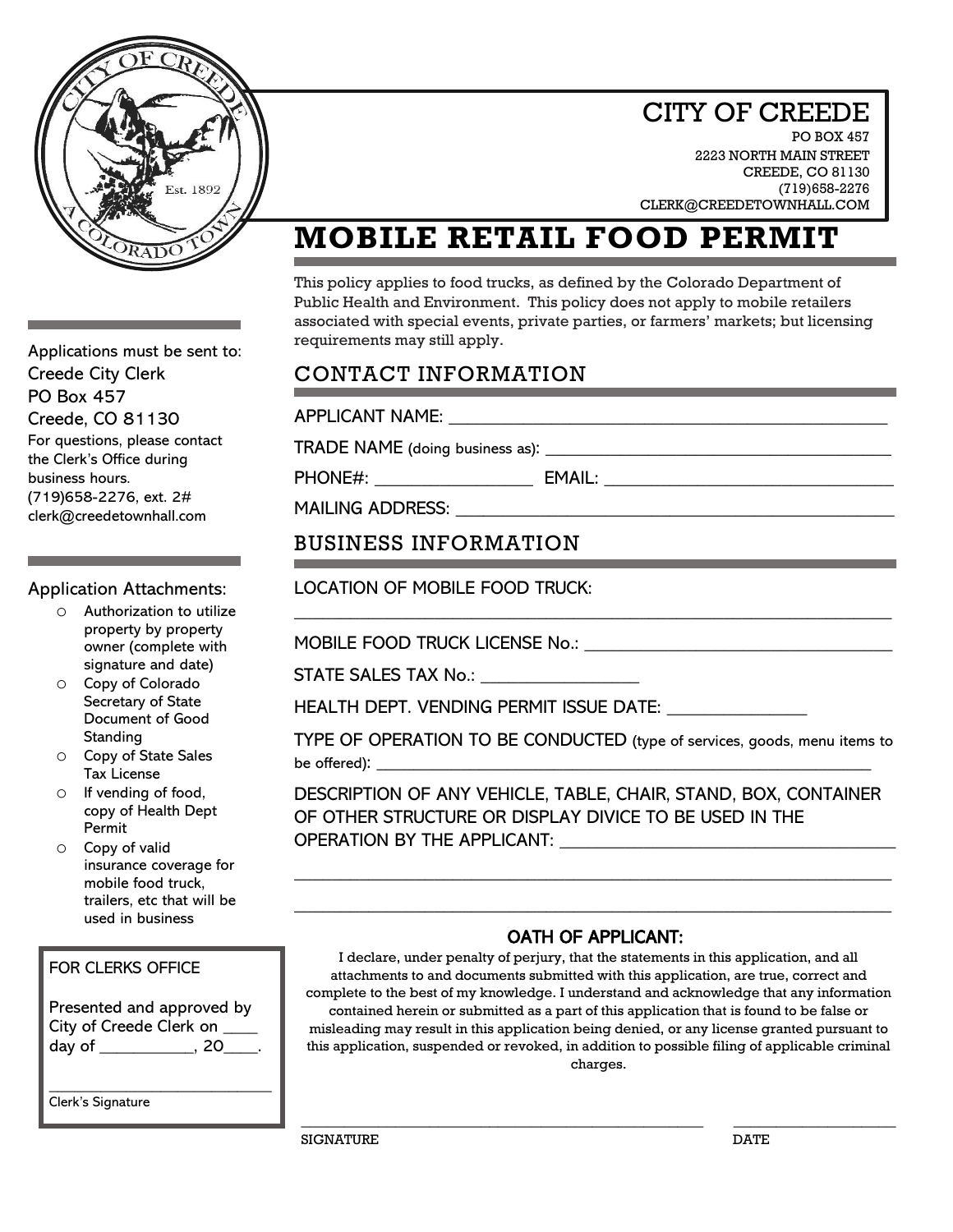

### CITY OF CREEDE

**PO BOX 457** 2223 NORTH MAIN STREET CREEDE, CO 81130 (719)658-2276 CLERK@CREEDETOWNHALL.COM

# **MOBILE RETAIL FOOD PERMIT**

This policy applies to food trucks, as defined by the Colorado Department of Public Health and Environment. This policy does not apply to mobile retailers associated with special events, private parties, or farmers' markets; but licensing requirements may still apply.

### CONTACT INFORMATION

APPLICANT NAME: \_\_\_\_\_\_\_\_\_\_\_\_\_\_\_\_\_\_\_\_\_\_\_\_\_\_\_\_\_\_\_\_\_\_\_\_\_\_\_\_\_\_\_\_\_\_\_

TRADE NAME (doing business as): \_\_\_\_\_\_\_\_\_\_\_\_\_\_\_\_\_\_\_\_\_\_\_\_\_\_\_\_\_\_\_\_\_\_\_\_\_

PHONE#: \_\_\_\_\_\_\_\_\_\_\_\_\_\_\_\_\_ EMAIL: \_\_\_\_\_\_\_\_\_\_\_\_\_\_\_\_\_\_\_\_\_\_\_\_\_\_\_\_\_\_\_

MAILING ADDRESS:

#### BUSINESS INFORMATION

LOCATION OF MOBILE FOOD TRUCK:

MOBILE FOOD TRUCK LICENSE No.: \_\_\_\_\_\_\_\_\_\_\_\_\_\_\_\_\_\_\_\_\_\_\_\_\_\_\_\_\_\_\_\_\_

STATE SALES TAX No.:

HEALTH DEPT. VENDING PERMIT ISSUE DATE: \_\_\_\_\_\_\_\_\_\_\_\_\_\_\_

TYPE OF OPERATION TO BE CONDUCTED (type of services, goods, menu items to  $be \; offered):$ 

\_\_\_\_\_\_\_\_\_\_\_\_\_\_\_\_\_\_\_\_\_\_\_\_\_\_\_\_\_\_\_\_\_\_\_\_\_\_\_\_\_\_\_\_\_\_\_\_\_\_\_\_\_\_\_\_\_\_\_\_\_\_\_\_

DESCRIPTION OF ANY VEHICLE, TABLE, CHAIR, STAND, BOX, CONTAINER OF OTHER STRUCTURE OR DISPLAY DIVICE TO BE USED IN THE OPERATION BY THE APPLICANT: \_\_\_\_\_\_\_\_\_\_\_\_\_\_\_\_\_\_\_\_\_\_\_\_\_\_\_\_\_\_\_\_\_\_\_\_

\_\_\_\_\_\_\_\_\_\_\_\_\_\_\_\_\_\_\_\_\_\_\_\_\_\_\_\_\_\_\_\_\_\_\_\_\_\_\_\_\_\_\_\_\_\_\_\_\_\_\_\_\_\_\_\_\_\_\_\_\_\_\_\_

\_\_\_\_\_\_\_\_\_\_\_\_\_\_\_\_\_\_\_\_\_\_\_\_\_\_\_\_\_\_\_\_\_\_\_\_\_\_\_\_\_\_\_\_\_\_\_\_\_\_\_\_\_\_\_\_\_\_\_\_\_\_\_\_

#### OATH OF APPLICANT:

I declare, under penalty of perjury, that the statements in this application, and all attachments to and documents submitted with this application, are true, correct and complete to the best of my knowledge. I understand and acknowledge that any information contained herein or submitted as a part of this application that is found to be false or misleading may result in this application being denied, or any license granted pursuant to this application, suspended or revoked, in addition to possible filing of applicable criminal charges.

\_\_\_\_\_\_\_\_\_\_\_\_\_\_\_\_\_\_\_\_\_\_\_\_\_\_\_\_\_\_\_\_\_\_\_\_\_\_\_\_\_\_\_\_\_\_\_ \_\_\_\_\_\_\_\_\_\_\_\_\_\_\_\_\_\_\_

Applications must be sent to: Creede City Clerk PO Box 457 Creede, CO 81130 For questions, please contact the Clerk's Office during business hours. (719)658-2276, ext. 2# clerk@creedetownhall.com

Application Attachments:

- Authorization to utilize property by property owner (complete with signature and date)
- o Copy of Colorado Secretary of State Document of Good **Standing**
- o Copy of State Sales Tax License
- o If vending of food, copy of Health Dept Permit
- o Copy of valid insurance coverage for mobile food truck, trailers, etc that will be used in business

#### FOR CLERKS OFFICE

Presented and approved by City of Creede Clerk on \_\_\_\_ day of \_\_\_\_\_\_\_\_\_\_\_, 20\_\_\_\_.

\_\_\_\_\_\_\_\_\_\_\_\_\_\_\_\_\_\_\_\_\_\_\_\_\_\_ Clerk's Signature